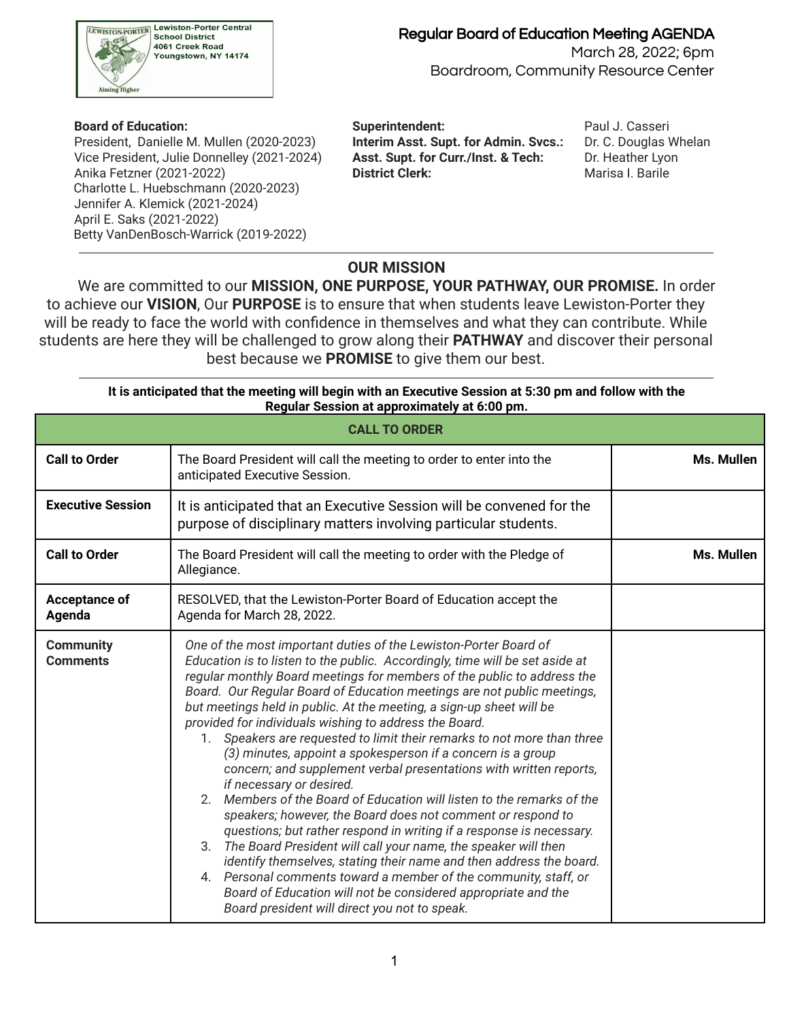

 President, Danielle M. Mullen (2020-2023) **Interim Asst. Supt. for Admin. Svcs.:** Dr. C. Douglas Whelan Vice President, Julie Donnelley (2021-2024) **Asst. Supt. for Curr./Inst. & Tech:** Dr. Heather Lyon Anika Fetzner (2021-2022) **District Clerk:** Marisa I. Barile Charlotte L. Huebschmann (2020-2023) Jennifer A. Klemick (2021-2024) April E. Saks (2021-2022) Betty VanDenBosch-Warrick (2019-2022)

 **Board of Education: Superintendent:** Paul J. Casseri

### **OUR MISSION**

We are committed to our **MISSION, ONE PURPOSE, YOUR PATHWAY, OUR PROMISE.** In order to achieve our **VISION**, Our **PURPOSE** is to ensure that when students leave Lewiston-Porter they will be ready to face the world with confidence in themselves and what they can contribute. While students are here they will be challenged to grow along their **PATHWAY** and discover their personal best because we **PROMISE** to give them our best.

|                                     | It is anticipated that the meeting will begin with an Executive Session at 5:30 pm and follow with the<br>Regular Session at approximately at 6:00 pm.                                                                                                                                                                                                                                                                                                                                                                                                                                                                                                                                                                                                                                                                                                                                                                                                                                                                                                                                                                                                                                                                                  |            |  |  |  |  |  |  |
|-------------------------------------|-----------------------------------------------------------------------------------------------------------------------------------------------------------------------------------------------------------------------------------------------------------------------------------------------------------------------------------------------------------------------------------------------------------------------------------------------------------------------------------------------------------------------------------------------------------------------------------------------------------------------------------------------------------------------------------------------------------------------------------------------------------------------------------------------------------------------------------------------------------------------------------------------------------------------------------------------------------------------------------------------------------------------------------------------------------------------------------------------------------------------------------------------------------------------------------------------------------------------------------------|------------|--|--|--|--|--|--|
| <b>CALL TO ORDER</b>                |                                                                                                                                                                                                                                                                                                                                                                                                                                                                                                                                                                                                                                                                                                                                                                                                                                                                                                                                                                                                                                                                                                                                                                                                                                         |            |  |  |  |  |  |  |
| <b>Call to Order</b>                | The Board President will call the meeting to order to enter into the<br>Ms. Mullen<br>anticipated Executive Session.                                                                                                                                                                                                                                                                                                                                                                                                                                                                                                                                                                                                                                                                                                                                                                                                                                                                                                                                                                                                                                                                                                                    |            |  |  |  |  |  |  |
| <b>Executive Session</b>            | It is anticipated that an Executive Session will be convened for the<br>purpose of disciplinary matters involving particular students.                                                                                                                                                                                                                                                                                                                                                                                                                                                                                                                                                                                                                                                                                                                                                                                                                                                                                                                                                                                                                                                                                                  |            |  |  |  |  |  |  |
| <b>Call to Order</b>                | The Board President will call the meeting to order with the Pledge of<br>Allegiance.                                                                                                                                                                                                                                                                                                                                                                                                                                                                                                                                                                                                                                                                                                                                                                                                                                                                                                                                                                                                                                                                                                                                                    | Ms. Mullen |  |  |  |  |  |  |
| Acceptance of<br>Agenda             | RESOLVED, that the Lewiston-Porter Board of Education accept the<br>Agenda for March 28, 2022.                                                                                                                                                                                                                                                                                                                                                                                                                                                                                                                                                                                                                                                                                                                                                                                                                                                                                                                                                                                                                                                                                                                                          |            |  |  |  |  |  |  |
| <b>Community</b><br><b>Comments</b> | One of the most important duties of the Lewiston-Porter Board of<br>Education is to listen to the public. Accordingly, time will be set aside at<br>regular monthly Board meetings for members of the public to address the<br>Board. Our Regular Board of Education meetings are not public meetings,<br>but meetings held in public. At the meeting, a sign-up sheet will be<br>provided for individuals wishing to address the Board.<br>1. Speakers are requested to limit their remarks to not more than three<br>(3) minutes, appoint a spokesperson if a concern is a group<br>concern; and supplement verbal presentations with written reports,<br>if necessary or desired.<br>2. Members of the Board of Education will listen to the remarks of the<br>speakers; however, the Board does not comment or respond to<br>questions; but rather respond in writing if a response is necessary.<br>3. The Board President will call your name, the speaker will then<br>identify themselves, stating their name and then address the board.<br>4. Personal comments toward a member of the community, staff, or<br>Board of Education will not be considered appropriate and the<br>Board president will direct you not to speak. |            |  |  |  |  |  |  |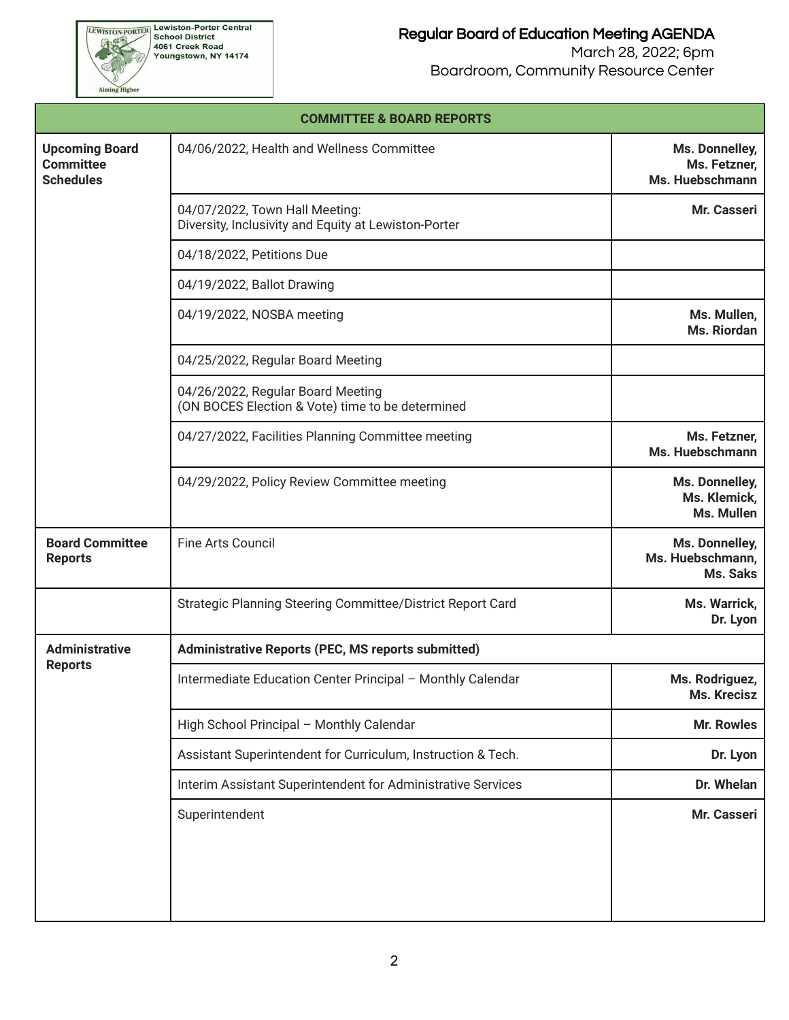Aiming Higher

|                                                               | <b>COMMITTEE &amp; BOARD REPORTS</b>                                                                                |                                                   |  |  |  |  |  |
|---------------------------------------------------------------|---------------------------------------------------------------------------------------------------------------------|---------------------------------------------------|--|--|--|--|--|
| <b>Upcoming Board</b><br><b>Committee</b><br><b>Schedules</b> | 04/06/2022, Health and Wellness Committee                                                                           | Ms. Donnelley,<br>Ms. Fetzner,<br>Ms. Huebschmann |  |  |  |  |  |
|                                                               | 04/07/2022, Town Hall Meeting:<br>Diversity, Inclusivity and Equity at Lewiston-Porter<br>04/18/2022, Petitions Due |                                                   |  |  |  |  |  |
|                                                               |                                                                                                                     |                                                   |  |  |  |  |  |
|                                                               | 04/19/2022, Ballot Drawing                                                                                          |                                                   |  |  |  |  |  |
|                                                               | 04/19/2022, NOSBA meeting                                                                                           | Ms. Mullen,<br>Ms. Riordan                        |  |  |  |  |  |
|                                                               | 04/25/2022, Regular Board Meeting                                                                                   |                                                   |  |  |  |  |  |
|                                                               | 04/26/2022, Regular Board Meeting<br>(ON BOCES Election & Vote) time to be determined                               |                                                   |  |  |  |  |  |
|                                                               | 04/27/2022, Facilities Planning Committee meeting                                                                   | Ms. Fetzner,<br>Ms. Huebschmann                   |  |  |  |  |  |
|                                                               | Ms. Donnelley,<br>Ms. Klemick,<br>Ms. Mullen                                                                        |                                                   |  |  |  |  |  |
| <b>Board Committee</b><br><b>Reports</b>                      | <b>Fine Arts Council</b>                                                                                            | Ms. Donnelley,<br>Ms. Huebschmann,<br>Ms. Saks    |  |  |  |  |  |
|                                                               | Strategic Planning Steering Committee/District Report Card                                                          | Ms. Warrick,<br>Dr. Lyon                          |  |  |  |  |  |
| <b>Administrative</b>                                         | <b>Administrative Reports (PEC, MS reports submitted)</b>                                                           |                                                   |  |  |  |  |  |
| <b>Reports</b>                                                | Intermediate Education Center Principal - Monthly Calendar                                                          | Ms. Rodriguez,<br>Ms. Krecisz                     |  |  |  |  |  |
|                                                               | High School Principal - Monthly Calendar                                                                            | <b>Mr. Rowles</b>                                 |  |  |  |  |  |
|                                                               | Assistant Superintendent for Curriculum, Instruction & Tech.                                                        | Dr. Lyon                                          |  |  |  |  |  |
|                                                               | Interim Assistant Superintendent for Administrative Services                                                        | Dr. Whelan                                        |  |  |  |  |  |
|                                                               | Superintendent                                                                                                      | Mr. Casseri                                       |  |  |  |  |  |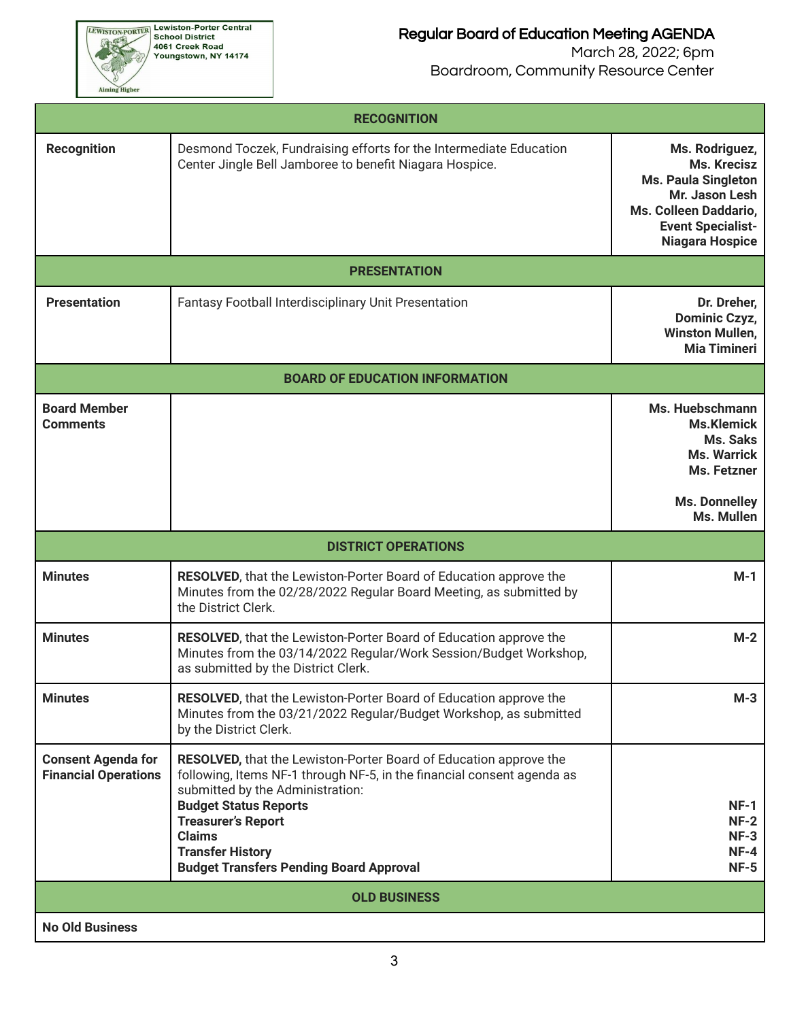### Regular Board of Education Meeting AGENDA

| <b>RECOGNITION</b>                                       |                                                                                                                                                                                                                                                                                                                                                   |                                                                                       |  |  |  |  |  |  |  |
|----------------------------------------------------------|---------------------------------------------------------------------------------------------------------------------------------------------------------------------------------------------------------------------------------------------------------------------------------------------------------------------------------------------------|---------------------------------------------------------------------------------------|--|--|--|--|--|--|--|
| <b>Recognition</b>                                       | Ms. Rodriguez,<br>Ms. Krecisz<br><b>Ms. Paula Singleton</b><br>Mr. Jason Lesh<br>Ms. Colleen Daddario,<br><b>Event Specialist-</b><br><b>Niagara Hospice</b>                                                                                                                                                                                      |                                                                                       |  |  |  |  |  |  |  |
|                                                          | <b>PRESENTATION</b>                                                                                                                                                                                                                                                                                                                               |                                                                                       |  |  |  |  |  |  |  |
| <b>Presentation</b>                                      | <b>Fantasy Football Interdisciplinary Unit Presentation</b>                                                                                                                                                                                                                                                                                       | Dr. Dreher,<br>Dominic Czyz,<br><b>Winston Mullen,</b><br><b>Mia Timineri</b>         |  |  |  |  |  |  |  |
|                                                          | <b>BOARD OF EDUCATION INFORMATION</b>                                                                                                                                                                                                                                                                                                             |                                                                                       |  |  |  |  |  |  |  |
| <b>Board Member</b><br><b>Comments</b>                   |                                                                                                                                                                                                                                                                                                                                                   | Ms. Huebschmann<br><b>Ms.Klemick</b><br>Ms. Saks<br><b>Ms. Warrick</b><br>Ms. Fetzner |  |  |  |  |  |  |  |
|                                                          |                                                                                                                                                                                                                                                                                                                                                   | <b>Ms. Donnelley</b><br>Ms. Mullen                                                    |  |  |  |  |  |  |  |
| <b>DISTRICT OPERATIONS</b>                               |                                                                                                                                                                                                                                                                                                                                                   |                                                                                       |  |  |  |  |  |  |  |
|                                                          |                                                                                                                                                                                                                                                                                                                                                   |                                                                                       |  |  |  |  |  |  |  |
| <b>Minutes</b>                                           | <b>RESOLVED, that the Lewiston-Porter Board of Education approve the</b><br>Minutes from the 02/28/2022 Regular Board Meeting, as submitted by<br>the District Clerk.                                                                                                                                                                             | M-1                                                                                   |  |  |  |  |  |  |  |
| <b>Minutes</b>                                           | <b>RESOLVED, that the Lewiston-Porter Board of Education approve the</b><br>Minutes from the 03/14/2022 Regular/Work Session/Budget Workshop,<br>as submitted by the District Clerk.                                                                                                                                                              | $M-2$                                                                                 |  |  |  |  |  |  |  |
| <b>Minutes</b>                                           | <b>RESOLVED, that the Lewiston-Porter Board of Education approve the</b><br>Minutes from the 03/21/2022 Regular/Budget Workshop, as submitted<br>by the District Clerk.                                                                                                                                                                           | $M-3$                                                                                 |  |  |  |  |  |  |  |
| <b>Consent Agenda for</b><br><b>Financial Operations</b> | <b>RESOLVED, that the Lewiston-Porter Board of Education approve the</b><br>following, Items NF-1 through NF-5, in the financial consent agenda as<br>submitted by the Administration:<br><b>Budget Status Reports</b><br><b>Treasurer's Report</b><br><b>Claims</b><br><b>Transfer History</b><br><b>Budget Transfers Pending Board Approval</b> | $NF-1$<br>$NF-2$<br>$NF-3$<br>$NF-4$<br>$NF-5$                                        |  |  |  |  |  |  |  |
|                                                          | <b>OLD BUSINESS</b>                                                                                                                                                                                                                                                                                                                               |                                                                                       |  |  |  |  |  |  |  |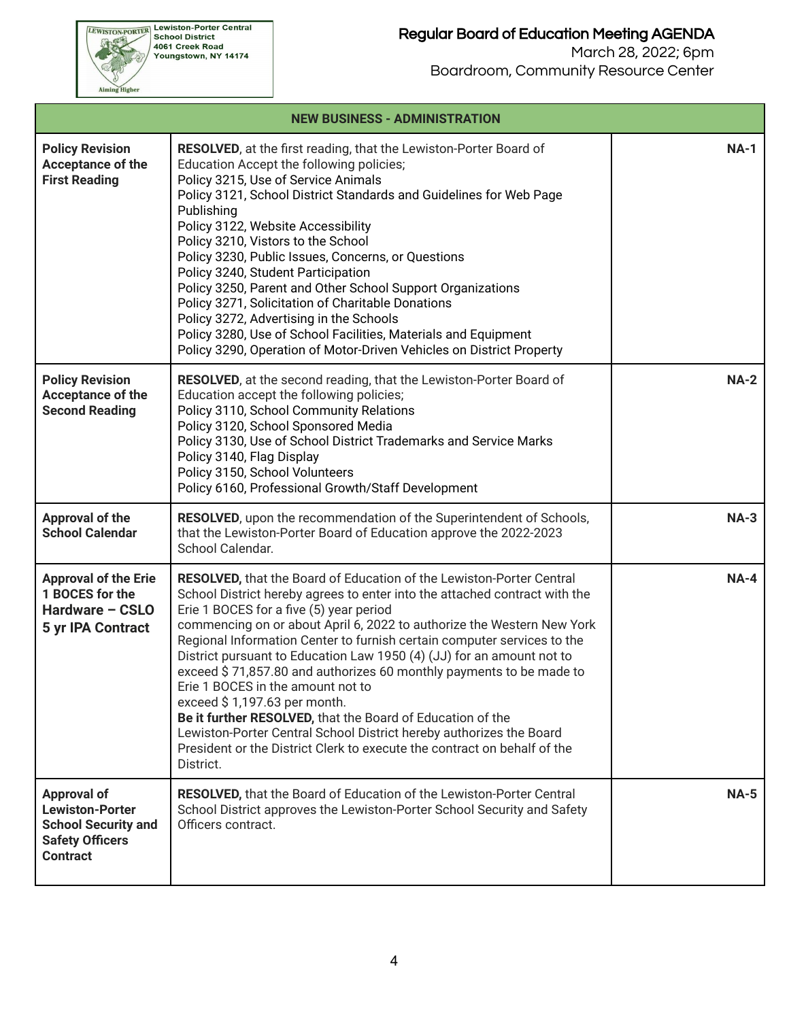|                                                                                                                         | <b>NEW BUSINESS - ADMINISTRATION</b>                                                                                                                                                                                                                                                                                                                                                                                                                                                                                                                                                                                                                                                                                                                                                                         |             |  |  |  |  |  |  |
|-------------------------------------------------------------------------------------------------------------------------|--------------------------------------------------------------------------------------------------------------------------------------------------------------------------------------------------------------------------------------------------------------------------------------------------------------------------------------------------------------------------------------------------------------------------------------------------------------------------------------------------------------------------------------------------------------------------------------------------------------------------------------------------------------------------------------------------------------------------------------------------------------------------------------------------------------|-------------|--|--|--|--|--|--|
| <b>Policy Revision</b><br>Acceptance of the<br><b>First Reading</b>                                                     | <b>RESOLVED</b> , at the first reading, that the Lewiston-Porter Board of<br>Education Accept the following policies;<br>Policy 3215, Use of Service Animals<br>Policy 3121, School District Standards and Guidelines for Web Page<br>Publishing<br>Policy 3122, Website Accessibility<br>Policy 3210, Vistors to the School<br>Policy 3230, Public Issues, Concerns, or Questions<br>Policy 3240, Student Participation<br>Policy 3250, Parent and Other School Support Organizations<br>Policy 3271, Solicitation of Charitable Donations<br>Policy 3272, Advertising in the Schools<br>Policy 3280, Use of School Facilities, Materials and Equipment<br>Policy 3290, Operation of Motor-Driven Vehicles on District Property                                                                             | <b>NA-1</b> |  |  |  |  |  |  |
| <b>Policy Revision</b><br>Acceptance of the<br><b>Second Reading</b>                                                    | <b>RESOLVED</b> , at the second reading, that the Lewiston-Porter Board of<br>Education accept the following policies;<br>Policy 3110, School Community Relations<br>Policy 3120, School Sponsored Media<br>Policy 3130, Use of School District Trademarks and Service Marks<br>Policy 3140, Flag Display<br>Policy 3150, School Volunteers<br>Policy 6160, Professional Growth/Staff Development                                                                                                                                                                                                                                                                                                                                                                                                            | <b>NA-2</b> |  |  |  |  |  |  |
| Approval of the<br><b>School Calendar</b>                                                                               | RESOLVED, upon the recommendation of the Superintendent of Schools,<br>that the Lewiston-Porter Board of Education approve the 2022-2023<br>School Calendar.                                                                                                                                                                                                                                                                                                                                                                                                                                                                                                                                                                                                                                                 | $NA-3$      |  |  |  |  |  |  |
| <b>Approval of the Erie</b><br>1 BOCES for the<br>Hardware - CSLO<br>5 yr IPA Contract                                  | <b>RESOLVED, that the Board of Education of the Lewiston-Porter Central</b><br>School District hereby agrees to enter into the attached contract with the<br>Erie 1 BOCES for a five (5) year period<br>commencing on or about April 6, 2022 to authorize the Western New York<br>Regional Information Center to furnish certain computer services to the<br>District pursuant to Education Law 1950 (4) (JJ) for an amount not to<br>exceed \$71,857.80 and authorizes 60 monthly payments to be made to<br>Erie 1 BOCES in the amount not to<br>exceed \$1,197.63 per month.<br>Be it further RESOLVED, that the Board of Education of the<br>Lewiston-Porter Central School District hereby authorizes the Board<br>President or the District Clerk to execute the contract on behalf of the<br>District. | $NA-4$      |  |  |  |  |  |  |
| <b>Approval of</b><br><b>Lewiston-Porter</b><br><b>School Security and</b><br><b>Safety Officers</b><br><b>Contract</b> | <b>RESOLVED, that the Board of Education of the Lewiston-Porter Central</b><br>School District approves the Lewiston-Porter School Security and Safety<br>Officers contract.                                                                                                                                                                                                                                                                                                                                                                                                                                                                                                                                                                                                                                 | <b>NA-5</b> |  |  |  |  |  |  |

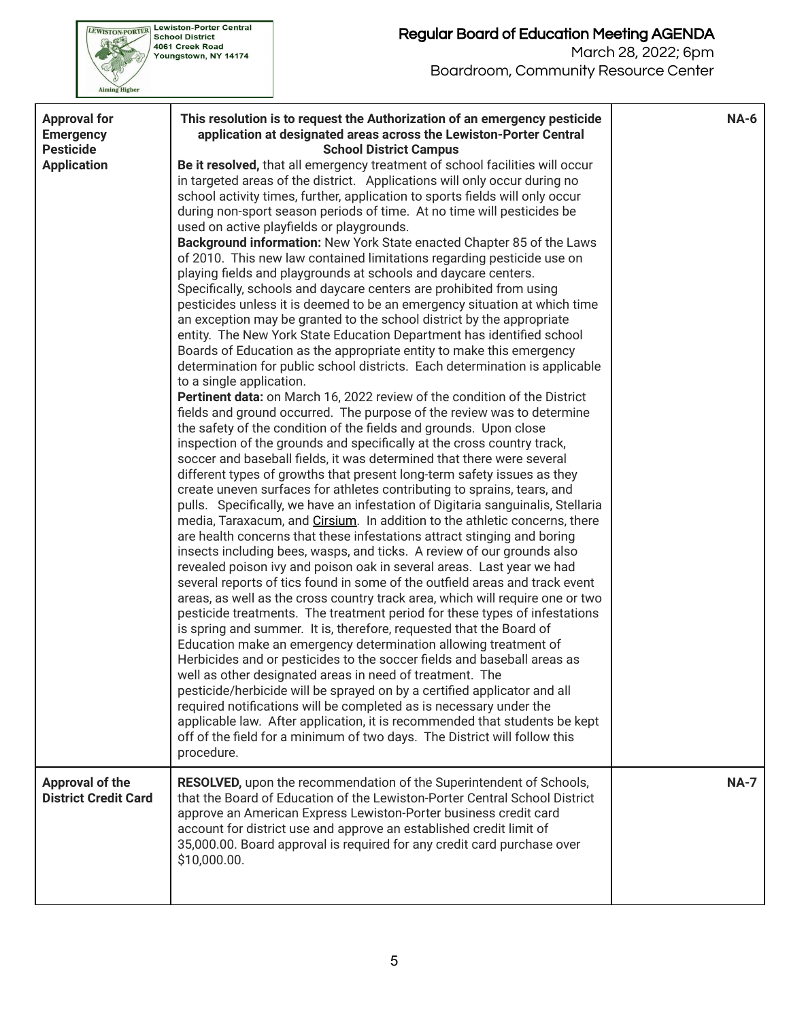

| <b>Approval for</b><br><b>Emergency</b><br><b>Pesticide</b><br><b>Application</b> | This resolution is to request the Authorization of an emergency pesticide<br>application at designated areas across the Lewiston-Porter Central<br><b>School District Campus</b><br>Be it resolved, that all emergency treatment of school facilities will occur<br>in targeted areas of the district. Applications will only occur during no<br>school activity times, further, application to sports fields will only occur<br>during non-sport season periods of time. At no time will pesticides be<br>used on active playfields or playgrounds.<br>Background information: New York State enacted Chapter 85 of the Laws<br>of 2010. This new law contained limitations regarding pesticide use on<br>playing fields and playgrounds at schools and daycare centers.<br>Specifically, schools and daycare centers are prohibited from using<br>pesticides unless it is deemed to be an emergency situation at which time<br>an exception may be granted to the school district by the appropriate<br>entity. The New York State Education Department has identified school<br>Boards of Education as the appropriate entity to make this emergency<br>determination for public school districts. Each determination is applicable<br>to a single application.<br>Pertinent data: on March 16, 2022 review of the condition of the District<br>fields and ground occurred. The purpose of the review was to determine<br>the safety of the condition of the fields and grounds. Upon close<br>inspection of the grounds and specifically at the cross country track,<br>soccer and baseball fields, it was determined that there were several<br>different types of growths that present long-term safety issues as they<br>create uneven surfaces for athletes contributing to sprains, tears, and<br>pulls. Specifically, we have an infestation of Digitaria sanguinalis, Stellaria<br>media, Taraxacum, and Cirsium. In addition to the athletic concerns, there<br>are health concerns that these infestations attract stinging and boring<br>insects including bees, wasps, and ticks. A review of our grounds also<br>revealed poison ivy and poison oak in several areas. Last year we had<br>several reports of tics found in some of the outfield areas and track event<br>areas, as well as the cross country track area, which will require one or two<br>pesticide treatments. The treatment period for these types of infestations<br>is spring and summer. It is, therefore, requested that the Board of<br>Education make an emergency determination allowing treatment of<br>Herbicides and or pesticides to the soccer fields and baseball areas as<br>well as other designated areas in need of treatment. The<br>pesticide/herbicide will be sprayed on by a certified applicator and all<br>required notifications will be completed as is necessary under the<br>applicable law. After application, it is recommended that students be kept<br>off of the field for a minimum of two days. The District will follow this | <b>NA-6</b> |
|-----------------------------------------------------------------------------------|----------------------------------------------------------------------------------------------------------------------------------------------------------------------------------------------------------------------------------------------------------------------------------------------------------------------------------------------------------------------------------------------------------------------------------------------------------------------------------------------------------------------------------------------------------------------------------------------------------------------------------------------------------------------------------------------------------------------------------------------------------------------------------------------------------------------------------------------------------------------------------------------------------------------------------------------------------------------------------------------------------------------------------------------------------------------------------------------------------------------------------------------------------------------------------------------------------------------------------------------------------------------------------------------------------------------------------------------------------------------------------------------------------------------------------------------------------------------------------------------------------------------------------------------------------------------------------------------------------------------------------------------------------------------------------------------------------------------------------------------------------------------------------------------------------------------------------------------------------------------------------------------------------------------------------------------------------------------------------------------------------------------------------------------------------------------------------------------------------------------------------------------------------------------------------------------------------------------------------------------------------------------------------------------------------------------------------------------------------------------------------------------------------------------------------------------------------------------------------------------------------------------------------------------------------------------------------------------------------------------------------------------------------------------------------------------------------------------------------------------------------------------------------------------------------------------------------------------------------------------------------------------------------------------------------------------------------------------------------------------------------------------------------------------------|-------------|
| <b>Approval of the</b><br><b>District Credit Card</b>                             | procedure.<br>RESOLVED, upon the recommendation of the Superintendent of Schools,<br>that the Board of Education of the Lewiston-Porter Central School District<br>approve an American Express Lewiston-Porter business credit card<br>account for district use and approve an established credit limit of<br>35,000.00. Board approval is required for any credit card purchase over                                                                                                                                                                                                                                                                                                                                                                                                                                                                                                                                                                                                                                                                                                                                                                                                                                                                                                                                                                                                                                                                                                                                                                                                                                                                                                                                                                                                                                                                                                                                                                                                                                                                                                                                                                                                                                                                                                                                                                                                                                                                                                                                                                                                                                                                                                                                                                                                                                                                                                                                                                                                                                                              | <b>NA-7</b> |
|                                                                                   | \$10,000.00.                                                                                                                                                                                                                                                                                                                                                                                                                                                                                                                                                                                                                                                                                                                                                                                                                                                                                                                                                                                                                                                                                                                                                                                                                                                                                                                                                                                                                                                                                                                                                                                                                                                                                                                                                                                                                                                                                                                                                                                                                                                                                                                                                                                                                                                                                                                                                                                                                                                                                                                                                                                                                                                                                                                                                                                                                                                                                                                                                                                                                                       |             |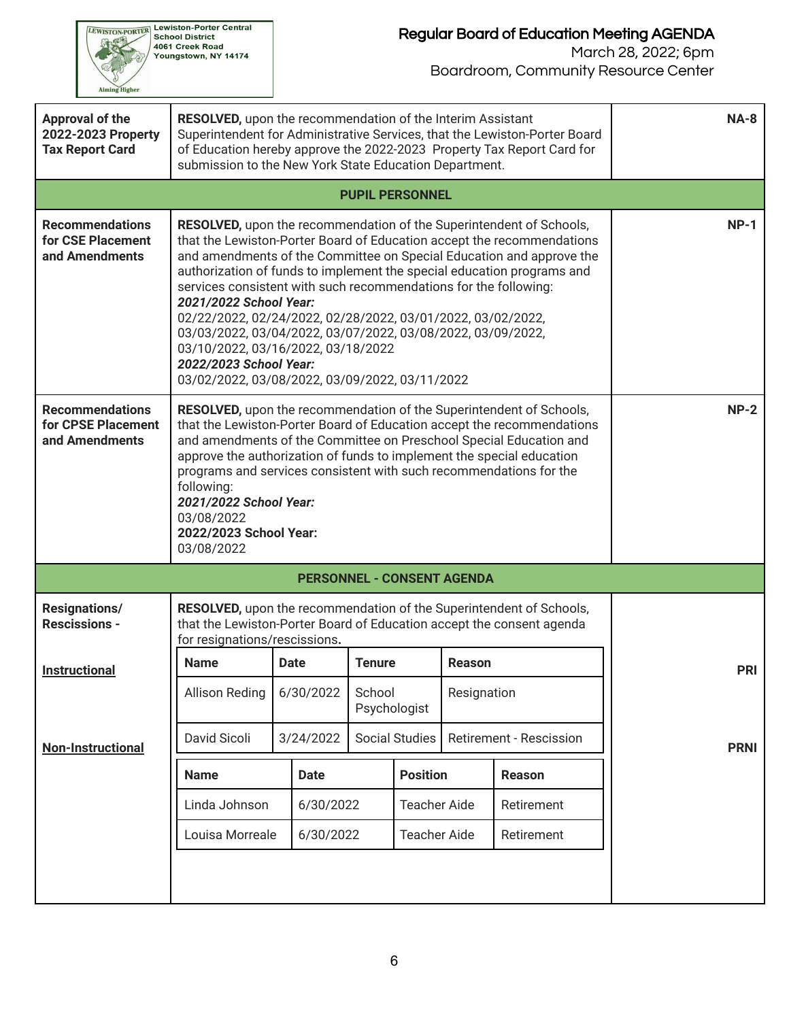

# Regular Board of Education Meeting AGENDA

| Approval of the<br>2022-2023 Property<br><b>Tax Report Card</b> | <b>RESOLVED, upon the recommendation of the Interim Assistant</b><br>Superintendent for Administrative Services, that the Lewiston-Porter Board<br>of Education hereby approve the 2022-2023 Property Tax Report Card for<br>submission to the New York State Education Department.                                                                                                                                                                                                                                                                                                                                                           | $NA-8$                                                                                                                                                                                                                                                                                                                                                                                                                 |               |                        |                                   |                                                                     |             |  |  |  |  |
|-----------------------------------------------------------------|-----------------------------------------------------------------------------------------------------------------------------------------------------------------------------------------------------------------------------------------------------------------------------------------------------------------------------------------------------------------------------------------------------------------------------------------------------------------------------------------------------------------------------------------------------------------------------------------------------------------------------------------------|------------------------------------------------------------------------------------------------------------------------------------------------------------------------------------------------------------------------------------------------------------------------------------------------------------------------------------------------------------------------------------------------------------------------|---------------|------------------------|-----------------------------------|---------------------------------------------------------------------|-------------|--|--|--|--|
|                                                                 |                                                                                                                                                                                                                                                                                                                                                                                                                                                                                                                                                                                                                                               | <b>PUPIL PERSONNEL</b>                                                                                                                                                                                                                                                                                                                                                                                                 |               |                        |                                   |                                                                     |             |  |  |  |  |
| <b>Recommendations</b><br>for CSE Placement<br>and Amendments   | RESOLVED, upon the recommendation of the Superintendent of Schools,<br>that the Lewiston-Porter Board of Education accept the recommendations<br>and amendments of the Committee on Special Education and approve the<br>authorization of funds to implement the special education programs and<br>services consistent with such recommendations for the following:<br>2021/2022 School Year:<br>02/22/2022, 02/24/2022, 02/28/2022, 03/01/2022, 03/02/2022,<br>03/03/2022, 03/04/2022, 03/07/2022, 03/08/2022, 03/09/2022,<br>03/10/2022, 03/16/2022, 03/18/2022<br>2022/2023 School Year:<br>03/02/2022, 03/08/2022, 03/09/2022, 03/11/2022 | $NP-1$                                                                                                                                                                                                                                                                                                                                                                                                                 |               |                        |                                   |                                                                     |             |  |  |  |  |
| <b>Recommendations</b><br>for CPSE Placement<br>and Amendments  | following:<br>03/08/2022<br>03/08/2022                                                                                                                                                                                                                                                                                                                                                                                                                                                                                                                                                                                                        | RESOLVED, upon the recommendation of the Superintendent of Schools,<br>that the Lewiston-Porter Board of Education accept the recommendations<br>and amendments of the Committee on Preschool Special Education and<br>approve the authorization of funds to implement the special education<br>programs and services consistent with such recommendations for the<br>2021/2022 School Year:<br>2022/2023 School Year: |               |                        |                                   |                                                                     |             |  |  |  |  |
|                                                                 |                                                                                                                                                                                                                                                                                                                                                                                                                                                                                                                                                                                                                                               |                                                                                                                                                                                                                                                                                                                                                                                                                        |               |                        | <b>PERSONNEL - CONSENT AGENDA</b> |                                                                     |             |  |  |  |  |
| <b>Resignations/</b><br><b>Rescissions -</b>                    | that the Lewiston-Porter Board of Education accept the consent agenda<br>for resignations/rescissions.                                                                                                                                                                                                                                                                                                                                                                                                                                                                                                                                        |                                                                                                                                                                                                                                                                                                                                                                                                                        |               |                        |                                   | RESOLVED, upon the recommendation of the Superintendent of Schools, |             |  |  |  |  |
| Instructional                                                   | <b>Name</b>                                                                                                                                                                                                                                                                                                                                                                                                                                                                                                                                                                                                                                   | <b>Date</b>                                                                                                                                                                                                                                                                                                                                                                                                            | <b>Tenure</b> |                        | <b>Reason</b>                     |                                                                     | <b>PRI</b>  |  |  |  |  |
|                                                                 | <b>Allison Reding</b>                                                                                                                                                                                                                                                                                                                                                                                                                                                                                                                                                                                                                         | 6/30/2022                                                                                                                                                                                                                                                                                                                                                                                                              |               | School<br>Psychologist |                                   | Resignation                                                         |             |  |  |  |  |
| <b>Non-Instructional</b>                                        | David Sicoli                                                                                                                                                                                                                                                                                                                                                                                                                                                                                                                                                                                                                                  | 3/24/2022                                                                                                                                                                                                                                                                                                                                                                                                              |               | <b>Social Studies</b>  |                                   | Retirement - Rescission                                             | <b>PRNI</b> |  |  |  |  |
|                                                                 | <b>Name</b>                                                                                                                                                                                                                                                                                                                                                                                                                                                                                                                                                                                                                                   | <b>Date</b>                                                                                                                                                                                                                                                                                                                                                                                                            |               | <b>Position</b>        |                                   | <b>Reason</b>                                                       |             |  |  |  |  |
|                                                                 | Linda Johnson                                                                                                                                                                                                                                                                                                                                                                                                                                                                                                                                                                                                                                 | 6/30/2022                                                                                                                                                                                                                                                                                                                                                                                                              |               | <b>Teacher Aide</b>    |                                   | Retirement                                                          |             |  |  |  |  |
|                                                                 | Louisa Morreale                                                                                                                                                                                                                                                                                                                                                                                                                                                                                                                                                                                                                               | 6/30/2022                                                                                                                                                                                                                                                                                                                                                                                                              |               |                        |                                   |                                                                     |             |  |  |  |  |
|                                                                 |                                                                                                                                                                                                                                                                                                                                                                                                                                                                                                                                                                                                                                               |                                                                                                                                                                                                                                                                                                                                                                                                                        |               |                        |                                   |                                                                     |             |  |  |  |  |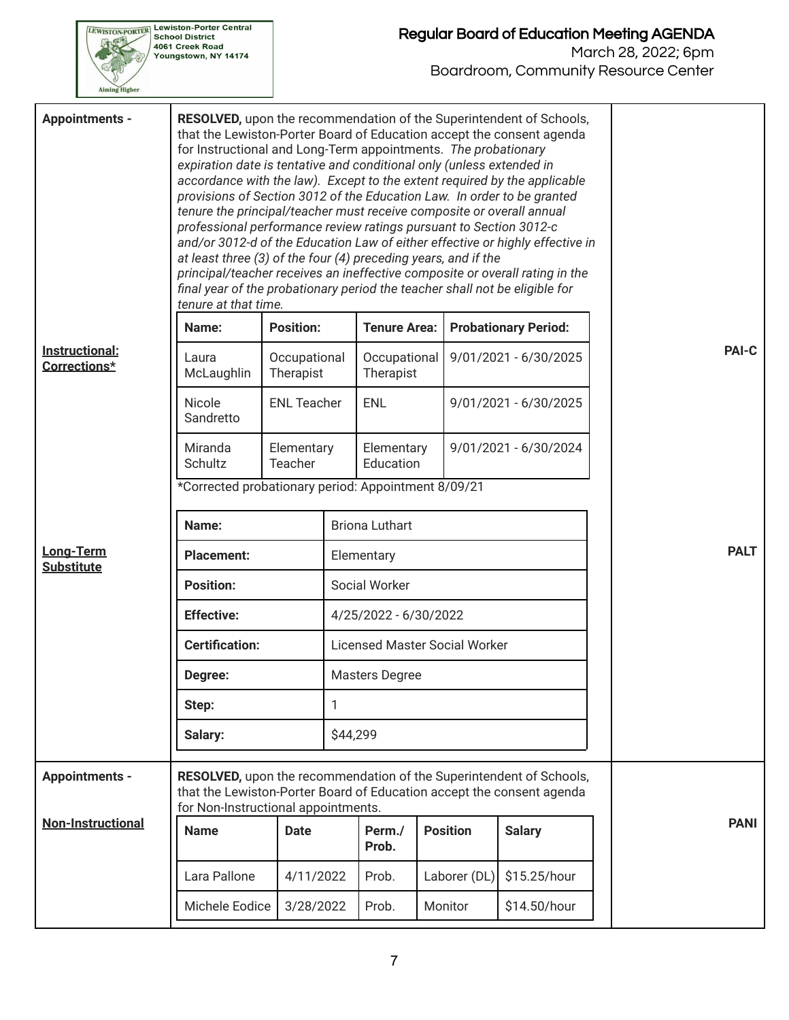

| <b>Appointments -</b>          | RESOLVED, upon the recommendation of the Superintendent of Schools,<br>that the Lewiston-Porter Board of Education accept the consent agenda<br>for Instructional and Long-Term appointments. The probationary<br>expiration date is tentative and conditional only (unless extended in<br>accordance with the law). Except to the extent required by the applicable<br>provisions of Section 3012 of the Education Law. In order to be granted<br>tenure the principal/teacher must receive composite or overall annual<br>professional performance review ratings pursuant to Section 3012-c<br>and/or 3012-d of the Education Law of either effective or highly effective in<br>at least three (3) of the four (4) preceding years, and if the<br>principal/teacher receives an ineffective composite or overall rating in the<br>final year of the probationary period the teacher shall not be eligible for<br>tenure at that time. |                                      |                       |                           |  |                       |                             |             |              |  |
|--------------------------------|------------------------------------------------------------------------------------------------------------------------------------------------------------------------------------------------------------------------------------------------------------------------------------------------------------------------------------------------------------------------------------------------------------------------------------------------------------------------------------------------------------------------------------------------------------------------------------------------------------------------------------------------------------------------------------------------------------------------------------------------------------------------------------------------------------------------------------------------------------------------------------------------------------------------------------------|--------------------------------------|-----------------------|---------------------------|--|-----------------------|-----------------------------|-------------|--------------|--|
|                                | Name:                                                                                                                                                                                                                                                                                                                                                                                                                                                                                                                                                                                                                                                                                                                                                                                                                                                                                                                                    | <b>Position:</b>                     |                       | <b>Tenure Area:</b>       |  |                       | <b>Probationary Period:</b> |             |              |  |
| Instructional:<br>Corrections* | Laura<br>McLaughlin                                                                                                                                                                                                                                                                                                                                                                                                                                                                                                                                                                                                                                                                                                                                                                                                                                                                                                                      | Occupational<br>Therapist            |                       | Occupational<br>Therapist |  |                       | 9/01/2021 - 6/30/2025       |             | <b>PAI-C</b> |  |
|                                | <b>Nicole</b><br>Sandretto                                                                                                                                                                                                                                                                                                                                                                                                                                                                                                                                                                                                                                                                                                                                                                                                                                                                                                               | <b>ENL Teacher</b>                   |                       | <b>ENL</b>                |  | 9/01/2021 - 6/30/2025 |                             |             |              |  |
|                                | Miranda<br>Schultz                                                                                                                                                                                                                                                                                                                                                                                                                                                                                                                                                                                                                                                                                                                                                                                                                                                                                                                       | Elementary<br>Teacher                |                       | Elementary<br>Education   |  | 9/01/2021 - 6/30/2024 |                             |             |              |  |
|                                | *Corrected probationary period: Appointment 8/09/21                                                                                                                                                                                                                                                                                                                                                                                                                                                                                                                                                                                                                                                                                                                                                                                                                                                                                      |                                      |                       |                           |  |                       |                             |             |              |  |
|                                | Name:                                                                                                                                                                                                                                                                                                                                                                                                                                                                                                                                                                                                                                                                                                                                                                                                                                                                                                                                    | <b>Briona Luthart</b>                |                       |                           |  |                       |                             |             |              |  |
| Long-Term<br><b>Substitute</b> | <b>Placement:</b>                                                                                                                                                                                                                                                                                                                                                                                                                                                                                                                                                                                                                                                                                                                                                                                                                                                                                                                        | Elementary                           |                       |                           |  |                       |                             | <b>PALT</b> |              |  |
|                                | <b>Position:</b>                                                                                                                                                                                                                                                                                                                                                                                                                                                                                                                                                                                                                                                                                                                                                                                                                                                                                                                         | Social Worker                        |                       |                           |  |                       |                             |             |              |  |
|                                | <b>Effective:</b>                                                                                                                                                                                                                                                                                                                                                                                                                                                                                                                                                                                                                                                                                                                                                                                                                                                                                                                        |                                      | 4/25/2022 - 6/30/2022 |                           |  |                       |                             |             |              |  |
|                                | <b>Certification:</b>                                                                                                                                                                                                                                                                                                                                                                                                                                                                                                                                                                                                                                                                                                                                                                                                                                                                                                                    | <b>Licensed Master Social Worker</b> |                       |                           |  |                       |                             |             |              |  |
|                                | Degree:                                                                                                                                                                                                                                                                                                                                                                                                                                                                                                                                                                                                                                                                                                                                                                                                                                                                                                                                  | <b>Masters Degree</b>                |                       |                           |  |                       |                             |             |              |  |
|                                | Step:                                                                                                                                                                                                                                                                                                                                                                                                                                                                                                                                                                                                                                                                                                                                                                                                                                                                                                                                    |                                      | 1                     |                           |  |                       |                             |             |              |  |
| \$44,299<br>Salary:            |                                                                                                                                                                                                                                                                                                                                                                                                                                                                                                                                                                                                                                                                                                                                                                                                                                                                                                                                          |                                      |                       |                           |  |                       |                             |             |              |  |
| <b>Appointments -</b>          | RESOLVED, upon the recommendation of the Superintendent of Schools,<br>that the Lewiston-Porter Board of Education accept the consent agenda<br>for Non-Instructional appointments.                                                                                                                                                                                                                                                                                                                                                                                                                                                                                                                                                                                                                                                                                                                                                      |                                      |                       |                           |  |                       |                             |             |              |  |
| <b>Non-Instructional</b>       | <b>Name</b>                                                                                                                                                                                                                                                                                                                                                                                                                                                                                                                                                                                                                                                                                                                                                                                                                                                                                                                              | <b>Date</b>                          |                       | Perm./<br>Prob.           |  | <b>Position</b>       | <b>Salary</b>               |             | <b>PANI</b>  |  |
|                                | Lara Pallone                                                                                                                                                                                                                                                                                                                                                                                                                                                                                                                                                                                                                                                                                                                                                                                                                                                                                                                             | 4/11/2022                            |                       | Prob.                     |  | Laborer (DL)          | \$15.25/hour                |             |              |  |
|                                | Michele Eodice                                                                                                                                                                                                                                                                                                                                                                                                                                                                                                                                                                                                                                                                                                                                                                                                                                                                                                                           | 3/28/2022                            |                       | Prob.                     |  | Monitor               | \$14.50/hour                |             |              |  |
|                                |                                                                                                                                                                                                                                                                                                                                                                                                                                                                                                                                                                                                                                                                                                                                                                                                                                                                                                                                          |                                      |                       |                           |  |                       |                             |             |              |  |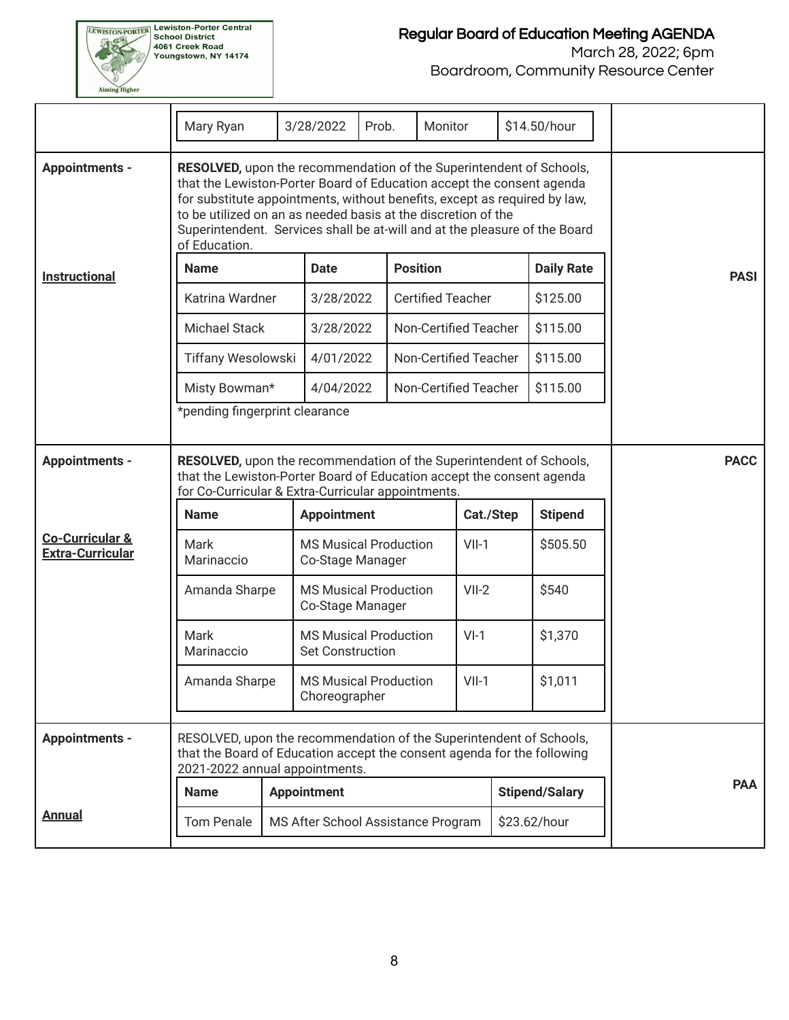

## Regular Board of Education Meeting AGENDA

|                                                       | Mary Ryan                                                                                                                                                                                                                                                                                                                                                                                 | 3/28/2022                                               | Prob. |                 | Monitor                  |           | \$14.50/hour          |  |             |
|-------------------------------------------------------|-------------------------------------------------------------------------------------------------------------------------------------------------------------------------------------------------------------------------------------------------------------------------------------------------------------------------------------------------------------------------------------------|---------------------------------------------------------|-------|-----------------|--------------------------|-----------|-----------------------|--|-------------|
| <b>Appointments -</b>                                 | RESOLVED, upon the recommendation of the Superintendent of Schools,<br>that the Lewiston-Porter Board of Education accept the consent agenda<br>for substitute appointments, without benefits, except as required by law,<br>to be utilized on an as needed basis at the discretion of the<br>Superintendent. Services shall be at-will and at the pleasure of the Board<br>of Education. |                                                         |       |                 |                          |           |                       |  |             |
| <b>Instructional</b>                                  | <b>Name</b>                                                                                                                                                                                                                                                                                                                                                                               | <b>Date</b>                                             |       | <b>Position</b> |                          |           | <b>Daily Rate</b>     |  | <b>PASI</b> |
|                                                       | Katrina Wardner                                                                                                                                                                                                                                                                                                                                                                           | 3/28/2022                                               |       |                 | <b>Certified Teacher</b> |           | \$125.00              |  |             |
|                                                       | <b>Michael Stack</b>                                                                                                                                                                                                                                                                                                                                                                      | 3/28/2022                                               |       |                 | Non-Certified Teacher    |           | \$115.00              |  |             |
|                                                       | Tiffany Wesolowski                                                                                                                                                                                                                                                                                                                                                                        | 4/01/2022                                               |       |                 | Non-Certified Teacher    |           | \$115.00              |  |             |
|                                                       | Misty Bowman*                                                                                                                                                                                                                                                                                                                                                                             | 4/04/2022                                               |       |                 | Non-Certified Teacher    |           | \$115.00              |  |             |
|                                                       | *pending fingerprint clearance                                                                                                                                                                                                                                                                                                                                                            |                                                         |       |                 |                          |           |                       |  |             |
| <b>Appointments -</b>                                 | RESOLVED, upon the recommendation of the Superintendent of Schools,<br>that the Lewiston-Porter Board of Education accept the consent agenda<br>for Co-Curricular & Extra-Curricular appointments.                                                                                                                                                                                        |                                                         |       |                 |                          |           |                       |  | <b>PACC</b> |
|                                                       | <b>Name</b>                                                                                                                                                                                                                                                                                                                                                                               | <b>Appointment</b>                                      |       |                 |                          | Cat./Step | <b>Stipend</b>        |  |             |
| <b>Co-Curricular &amp;</b><br><b>Extra-Curricular</b> | Mark<br>Marinaccio                                                                                                                                                                                                                                                                                                                                                                        | <b>MS Musical Production</b><br>Co-Stage Manager        |       |                 |                          | $VII-1$   | \$505.50              |  |             |
|                                                       | Amanda Sharpe                                                                                                                                                                                                                                                                                                                                                                             | <b>MS Musical Production</b><br>Co-Stage Manager        |       |                 |                          | $VII-2$   | \$540                 |  |             |
|                                                       | Mark<br>Marinaccio                                                                                                                                                                                                                                                                                                                                                                        | <b>MS Musical Production</b><br><b>Set Construction</b> |       |                 |                          | $VI-1$    | \$1,370               |  |             |
|                                                       | Amanda Sharpe                                                                                                                                                                                                                                                                                                                                                                             | <b>MS Musical Production</b><br>Choreographer           |       |                 |                          | $VII-1$   | \$1,011               |  |             |
| <b>Appointments -</b>                                 | RESOLVED, upon the recommendation of the Superintendent of Schools,<br>that the Board of Education accept the consent agenda for the following<br>2021-2022 annual appointments.                                                                                                                                                                                                          |                                                         |       |                 |                          |           |                       |  |             |
|                                                       | <b>Name</b>                                                                                                                                                                                                                                                                                                                                                                               | <b>Appointment</b>                                      |       |                 |                          |           | <b>Stipend/Salary</b> |  | <b>PAA</b>  |
| <b>Annual</b>                                         | <b>Tom Penale</b>                                                                                                                                                                                                                                                                                                                                                                         | MS After School Assistance Program                      |       |                 |                          |           | \$23.62/hour          |  |             |
|                                                       |                                                                                                                                                                                                                                                                                                                                                                                           |                                                         |       |                 |                          |           |                       |  |             |